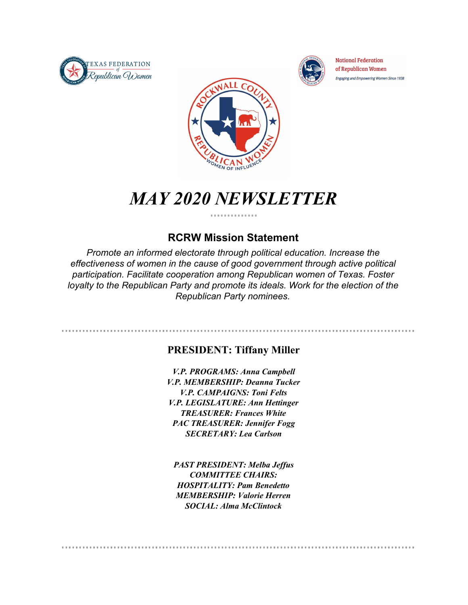



**National Federation** of Republican Women Engaging and Empowering Women Since 1938



## *MAY 2020 NEWSLETTER*

### **RCRW Mission Statement**

*Promote an informed electorate through political education. Increase the effectiveness of women in the cause of good government through active political participation. Facilitate cooperation among Republican women of Texas. Foster loyalty to the Republican Party and promote its ideals. Work for the election of the Republican Party nominees.*

### **PRESIDENT: Tiffany Miller**

*V.P. PROGRAMS: Anna Campbell V.P. MEMBERSHIP: Deanna Tucker V.P. CAMPAIGNS: Toni Felts V.P. LEGISLATURE: Ann Hettinger TREASURER: Frances White PAC TREASURER: Jennifer Fogg SECRETARY: Lea Carlson*

*PAST PRESIDENT: Melba Jeffus COMMITTEE CHAIRS: HOSPITALITY: Pam Benedetto MEMBERSHIP: Valorie Herren SOCIAL: Alma McClintock*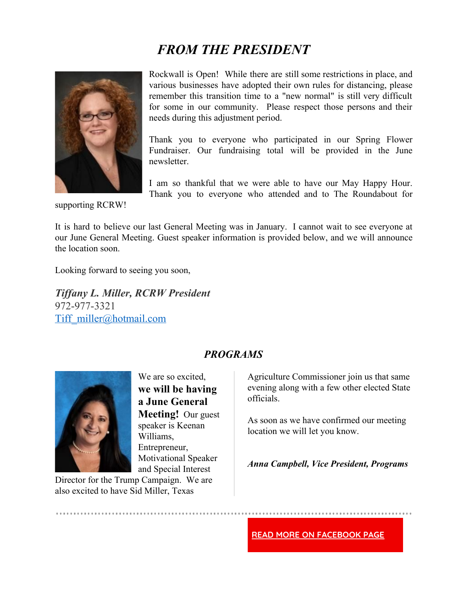### *FROM THE PRESIDENT*



Rockwall is Open! While there are still some restrictions in place, and various businesses have adopted their own rules for distancing, please remember this transition time to a "new normal" is still very difficult for some in our community. Please respect those persons and their needs during this adjustment period.

Thank you to everyone who participated in our Spring Flower Fundraiser. Our fundraising total will be provided in the June newsletter.

I am so thankful that we were able to have our May Happy Hour. Thank you to everyone who attended and to The Roundabout for

supporting RCRW!

It is hard to believe our last General Meeting was in January. I cannot wait to see everyone at our June General Meeting. Guest speaker information is provided below, and we will announce the location soon.

Looking forward to seeing you soon,

*Tiffany L. Miller, RCRW President* 972-977-3321 Tiff\_miller@hotmail.com

### *PROGRAMS*



We are so excited, **we will be having a June General Meeting!** Our guest speaker is Keenan Williams, Entrepreneur, Motivational Speaker and Special Interest

Director for the Trump Campaign. We are also excited to have Sid Miller, Texas

Agriculture Commissioner join us that same evening along with a few other elected State officials.

As soon as we have confirmed our meeting location we will let you know.

*Anna Campbell, Vice President, Programs*

READ MORE ON FACEBOOK PAGE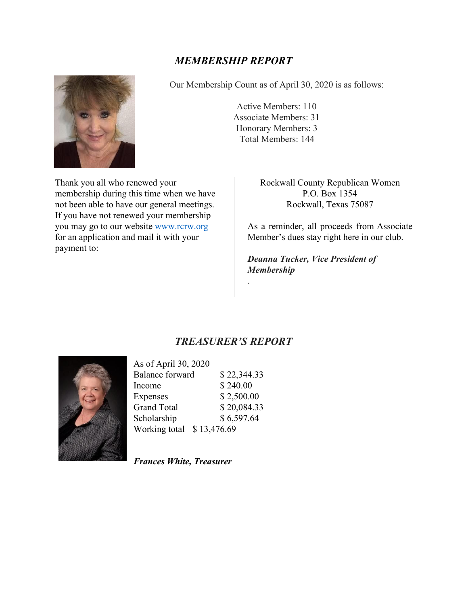### *MEMBERSHIP REPORT*



Our Membership Count as of April 30, 2020 is as follows:

Active Members: 110 Associate Members: 31 Honorary Members: 3 Total Members: 144

Thank you all who renewed your membership during this time when we have not been able to have our general meetings. If you have not renewed your membership you may go to our website www.rcrw.org for an application and mail it with your payment to:

Rockwall County Republican Women P.O. Box 1354 Rockwall, Texas 75087

As a reminder, all proceeds from Associate Member's dues stay right here in our club.

*Deanna Tucker, Vice President of Membership*

### *TREASURER'S REPORT*

.



As of April 30, 2020 Balance forward \$ 22,344.33 Income \$ 240.00 Expenses \$ 2,500.00 Grand Total \$20,084.33 Scholarship  $$6,597.64$ Working total \$ 13,476.69

*Frances White, Treasurer*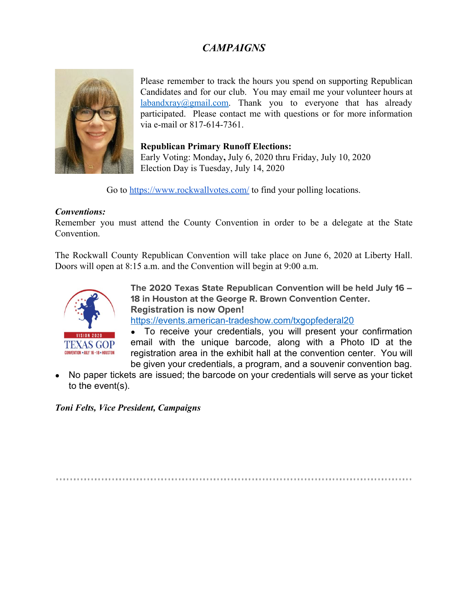### *CAMPAIGNS*



Please remember to track the hours you spend on supporting Republican Candidates and for our club. You may email me your volunteer hours at  $labandxray@gmail.com$ . Thank you to everyone that has already participated. Please contact me with questions or for more information via e-mail or 817-614-7361.

### **Republican Primary Runoff Elections:**

Early Voting: Monday**,** July 6, 2020 thru Friday, July 10, 2020 Election Day is Tuesday, July 14, 2020

Go to https://www.rockwallvotes.com/ to find your polling locations.

### *Conventions:*

Remember you must attend the County Convention in order to be a delegate at the State Convention.

The Rockwall County Republican Convention will take place on June 6, 2020 at Liberty Hall. Doors will open at 8:15 a.m. and the Convention will begin at 9:00 a.m.



The 2020 Texas State Republican Convention will be held July 16 – 18 in Houston at the George R. Brown Convention Center. **Registration is now Open!**

https://events.american-tradeshow.com/txgopfederal20

• To receive your credentials, you will present your confirmation email with the unique barcode, along with a Photo ID at the registration area in the exhibit hall at the convention center. You will be given your credentials, a program, and a souvenir convention bag.

• No paper tickets are issued; the barcode on your credentials will serve as your ticket to the event(s).

*Toni Felts, Vice President, Campaigns*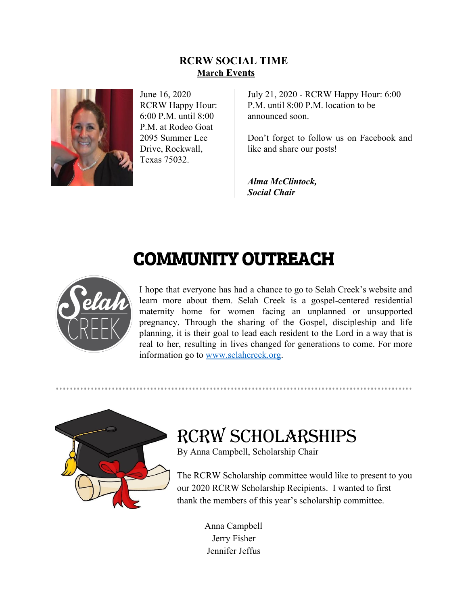### **RCRW SOCIAL TIME March Events**



June 16, 2020 – RCRW Happy Hour:  $6:00 \text{ P.M}$  until  $8:00$ P.M. at Rodeo Goat 2095 Summer Lee Drive, Rockwall, Texas 75032.

July 21, 2020 - RCRW Happy Hour: 6:00 P.M. until 8:00 P.M. location to be announced soon.

Don't forget to follow us on Facebook and like and share our posts!

*Alma McClintock, Social Chair*

## COMMUNITY OUTREACH



I hope that everyone has had a chance to go to Selah Creek's website and learn more about them. Selah Creek is a gospel-centered residential maternity home for women facing an unplanned or unsupported pregnancy. Through the sharing of the Gospel, discipleship and life planning, it is their goal to lead each resident to the Lord in a way that is real to her, resulting in lives changed for generations to come. For more information go to www.selahcreek.org.



# RCRW SCHOLARSHIPS

By Anna Campbell, Scholarship Chair

The RCRW Scholarship committee would like to present to you our 2020 RCRW Scholarship Recipients. I wanted to first thank the members of this year's scholarship committee.

> Anna Campbell Jerry Fisher Jennifer Jeffus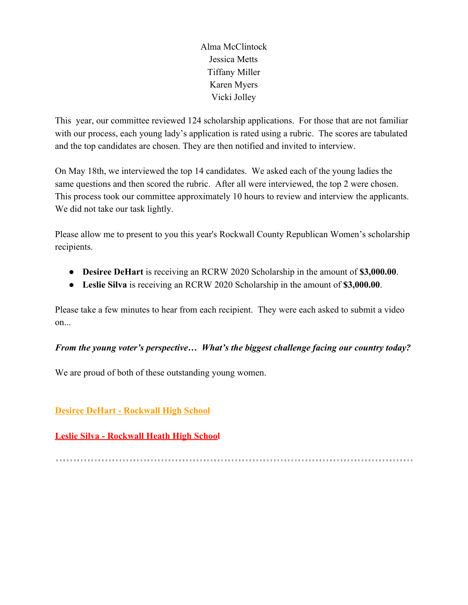Alma McClintock Jessica Metts Tiffany Miller Karen Myers Vicki Jolley

This year, our committee reviewed 124 scholarship applications. For those that are not familiar with our process, each young lady's application is rated using a rubric. The scores are tabulated and the top candidates are chosen. They are then notified and invited to interview.

On May 18th, we interviewed the top 14 candidates. We asked each of the young ladies the same questions and then scored the rubric. After all were interviewed, the top 2 were chosen. This process took our committee approximately 10 hours to review and interview the applicants. We did not take our task lightly.

Please allow me to present to you this year's Rockwall County Republican Women's scholarship recipients.

- **Desiree DeHart** is receiving an RCRW 2020 Scholarship in the amount of **\$3,000.00**.
- **Leslie Silva** is receiving an RCRW 2020 Scholarship in the amount of **\$3,000.00**.

Please take a few minutes to hear from each recipient. They were each asked to submit a video on...

*From the young voter's perspective… What's the biggest challenge facing our country today?*

We are proud of both of these outstanding young women.

**Desiree DeHart - Rockwall High School**

**Leslie Silva - Rockwall Heath High School**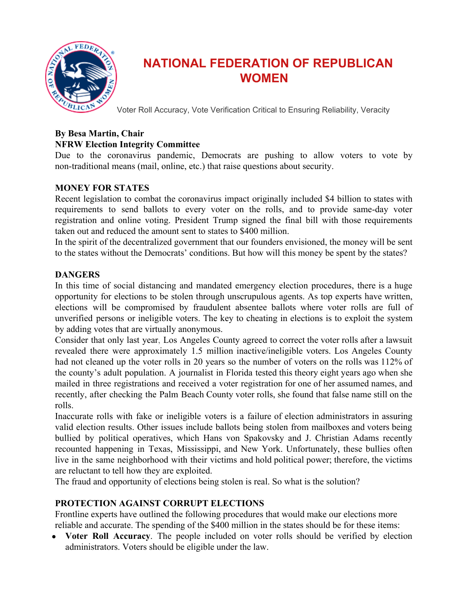

### **NATIONAL FEDERATION OF REPUBLICAN WOMEN**

Voter Roll Accuracy, Vote Verification Critical to Ensuring Reliability, Veracity

### **By Besa Martin, Chair NFRW Election Integrity Committee**

Due to the coronavirus pandemic, Democrats are pushing to allow voters to vote by non-traditional means (mail, online, etc.) that raise questions about security.

### **MONEY FOR STATES**

Recent legislation to combat the coronavirus impact originally included \$4 billion to states with requirements to send ballots to every voter on the rolls, and to provide same-day voter registration and online voting. President Trump signed the final bill with those requirements taken out and reduced the amount sent to states to \$400 million.

In the spirit of the decentralized government that our founders envisioned, the money will be sent to the states without the Democrats' conditions. But how will this money be spent by the states?

### **DANGERS**

In this time of social distancing and mandated emergency election procedures, there is a huge opportunity for elections to be stolen through unscrupulous agents. As top experts have written, elections will be compromised by fraudulent absentee ballots where voter rolls are full of unverified persons or ineligible voters. The key to cheating in elections is to exploit the system by adding votes that are virtually anonymous.

Consider that only last year, Los Angeles County agreed to correct the voter rolls after a lawsuit revealed there were approximately 1.5 million inactive/ineligible voters. Los Angeles County had not cleaned up the voter rolls in 20 years so the number of voters on the rolls was 112% of the county's adult population. A journalist in Florida tested this theory eight years ago when she mailed in three registrations and received a voter registration for one of her assumed names, and recently, after checking the Palm Beach County voter rolls, she found that false name still on the rolls.

Inaccurate rolls with fake or ineligible voters is a failure of election administrators in assuring valid election results. Other issues include ballots being stolen from mailboxes and voters being bullied by political operatives, which Hans von Spakovsky and J. Christian Adams recently recounted happening in Texas, Mississippi, and New York. Unfortunately, these bullies often live in the same neighborhood with their victims and hold political power; therefore, the victims are reluctant to tell how they are exploited.

The fraud and opportunity of elections being stolen is real. So what is the solution?

### **PROTECTION AGAINST CORRUPT ELECTIONS**

Frontline experts have outlined the following procedures that would make our elections more reliable and accurate. The spending of the \$400 million in the states should be for these items:

● **Voter Roll Accuracy**. The people included on voter rolls should be verified by election administrators. Voters should be eligible under the law.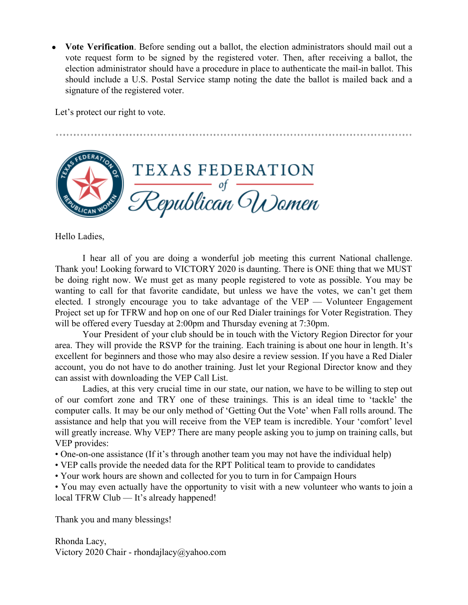● **Vote Verification**. Before sending out a ballot, the election administrators should mail out a vote request form to be signed by the registered voter. Then, after receiving a ballot, the election administrator should have a procedure in place to authenticate the mail-in ballot. This should include a U.S. Postal Service stamp noting the date the ballot is mailed back and a signature of the registered voter.

Let's protect our right to vote.



Hello Ladies,

I hear all of you are doing a wonderful job meeting this current National challenge. Thank you! Looking forward to VICTORY 2020 is daunting. There is ONE thing that we MUST be doing right now. We must get as many people registered to vote as possible. You may be wanting to call for that favorite candidate, but unless we have the votes, we can't get them elected. I strongly encourage you to take advantage of the VEP — Volunteer Engagement Project set up for TFRW and hop on one of our Red Dialer trainings for Voter Registration. They will be offered every Tuesday at 2:00pm and Thursday evening at 7:30pm.

Your President of your club should be in touch with the Victory Region Director for your area. They will provide the RSVP for the training. Each training is about one hour in length. It's excellent for beginners and those who may also desire a review session. If you have a Red Dialer account, you do not have to do another training. Just let your Regional Director know and they can assist with downloading the VEP Call List.

Ladies, at this very crucial time in our state, our nation, we have to be willing to step out of our comfort zone and TRY one of these trainings. This is an ideal time to 'tackle' the computer calls. It may be our only method of 'Getting Out the Vote' when Fall rolls around. The assistance and help that you will receive from the VEP team is incredible. Your 'comfort' level will greatly increase. Why VEP? There are many people asking you to jump on training calls, but VEP provides:

- One-on-one assistance (If it's through another team you may not have the individual help)
- VEP calls provide the needed data for the RPT Political team to provide to candidates
- Your work hours are shown and collected for you to turn in for Campaign Hours

• You may even actually have the opportunity to visit with a new volunteer who wants to join a local TFRW Club — It's already happened!

Thank you and many blessings!

Rhonda Lacy, Victory 2020 Chair - rhondajlacy@yahoo.com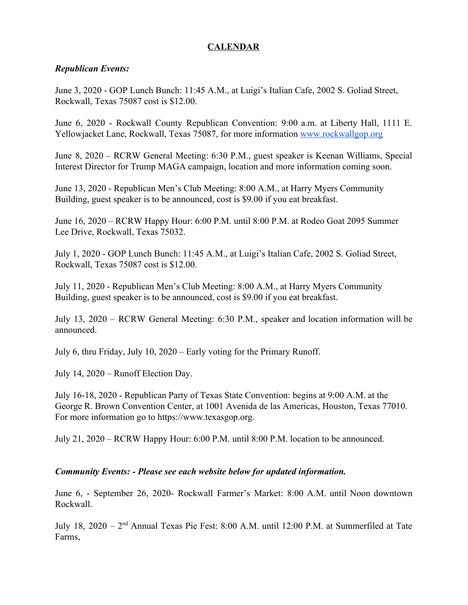### **CALENDAR**

### *Republican Events:*

June 3, 2020 - GOP Lunch Bunch: 11:45 A.M., at Luigi's Italian Cafe, 2002 S. Goliad Street, Rockwall, Texas 75087 cost is \$12.00.

June 6, 2020 - Rockwall County Republican Convention: 9:00 a.m. at Liberty Hall, 1111 E. Yellowjacket Lane, Rockwall, Texas 75087, for more information www.rockwallgop.org

June 8, 2020 – RCRW General Meeting: 6:30 P.M., guest speaker is Keenan Williams, Special Interest Director for Trump MAGA campaign, location and more information coming soon.

June 13, 2020 - Republican Men's Club Meeting: 8:00 A.M., at Harry Myers Community Building, guest speaker is to be announced, cost is \$9.00 if you eat breakfast.

June 16, 2020 – RCRW Happy Hour: 6:00 P.M. until 8:00 P.M. at Rodeo Goat 2095 Summer Lee Drive, Rockwall, Texas 75032.

July 1, 2020 - GOP Lunch Bunch: 11:45 A.M., at Luigi's Italian Cafe, 2002 S. Goliad Street, Rockwall, Texas 75087 cost is \$12.00.

July 11, 2020 - Republican Men's Club Meeting: 8:00 A.M., at Harry Myers Community Building, guest speaker is to be announced, cost is \$9.00 if you eat breakfast.

July 13, 2020 – RCRW General Meeting: 6:30 P.M., speaker and location information will be announced.

July 6, thru Friday, July 10, 2020 – Early voting for the Primary Runoff.

July 14, 2020 – Runoff Election Day.

July 16-18, 2020 - Republican Party of Texas State Convention: begins at 9:00 A.M. at the George R. Brown Convention Center, at 1001 Avenida de las Americas, Houston, Texas 77010. For more information go to https://www.texasgop.org.

July 21, 2020 – RCRW Happy Hour: 6:00 P.M. until 8:00 P.M. location to be announced.

### *Community Events: - Please see each website below for updated information.*

June 6, - September 26, 2020- Rockwall Farmer's Market: 8:00 A.M. until Noon downtown Rockwall.

July 18, 2020 – 2nd Annual Texas Pie Fest: 8:00 A.M. until 12:00 P.M. at Summerfiled at Tate Farms,